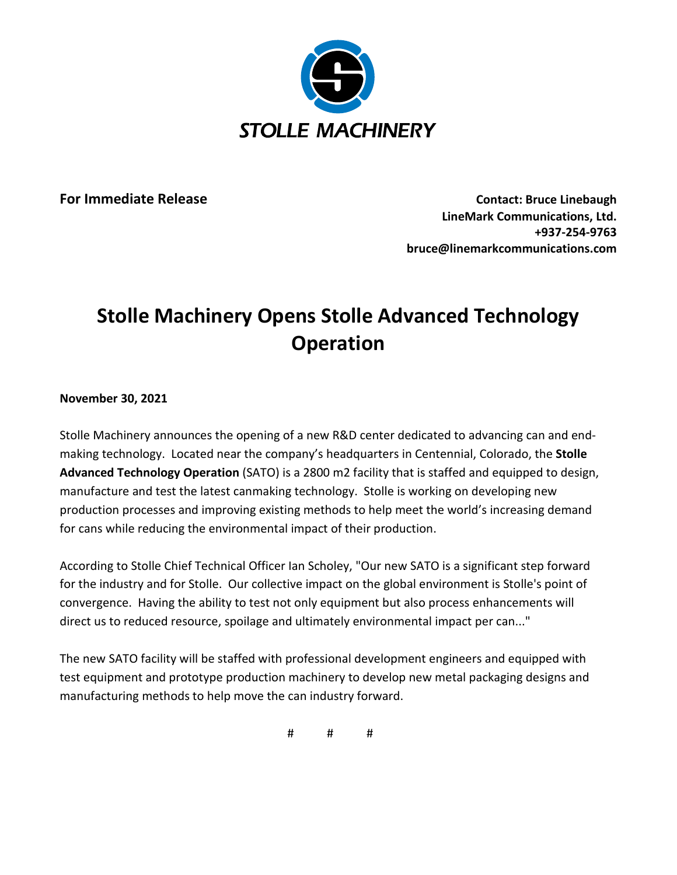

**For Immediate Release Contact: Bruce Linebaugh LineMark Communications, Ltd. +937-254-9763 bruce@linemarkcommunications.com**

## **Stolle Machinery Opens Stolle Advanced Technology Operation**

**November 30, 2021**

Stolle Machinery announces the opening of a new R&D center dedicated to advancing can and endmaking technology. Located near the company's headquarters in Centennial, Colorado, the **Stolle Advanced Technology Operation** (SATO) is a 2800 m2 facility that is staffed and equipped to design, manufacture and test the latest canmaking technology. Stolle is working on developing new production processes and improving existing methods to help meet the world's increasing demand for cans while reducing the environmental impact of their production.

According to Stolle Chief Technical Officer Ian Scholey, "Our new SATO is a significant step forward for the industry and for Stolle. Our collective impact on the global environment is Stolle's point of convergence. Having the ability to test not only equipment but also process enhancements will direct us to reduced resource, spoilage and ultimately environmental impact per can..."

The new SATO facility will be staffed with professional development engineers and equipped with test equipment and prototype production machinery to develop new metal packaging designs and manufacturing methods to help move the can industry forward.

# # #